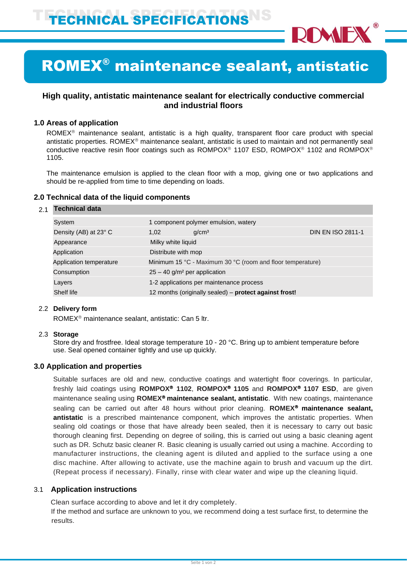

## ROMEX® maintenance sealant, antistatic

## **High quality, antistatic maintenance sealant for electrically conductive commercial and industrial floors**

## **1.0 Areas of application**

ROMEX<sup>®</sup> maintenance sealant, antistatic is a high quality, transparent floor care product with special antistatic properties. ROME $X^{\circ}$  maintenance sealant, antistatic is used to maintain and not permanently seal conductive reactive resin floor coatings such as ROMPOX<sup>®</sup> 1107 ESD, ROMPOX<sup>®</sup> 1102 and ROMPOX<sup>®</sup> 1105.

The maintenance emulsion is applied to the clean floor with a mop, giving one or two applications and should be re-applied from time to time depending on loads.

## **2.0 Technical data of the liquid components**

#### 2.1 **Technical data**

| System                  | 1 component polymer emulsion, watery                       |                                                        |                          |
|-------------------------|------------------------------------------------------------|--------------------------------------------------------|--------------------------|
| Density (AB) at 23° C   | 1.02                                                       | q/cm <sup>3</sup>                                      | <b>DIN EN ISO 2811-1</b> |
| Appearance              | Milky white liquid                                         |                                                        |                          |
| Application             | Distribute with mop                                        |                                                        |                          |
| Application temperature | Minimum 15 °C - Maximum 30 °C (room and floor temperature) |                                                        |                          |
| Consumption             | $25 - 40$ g/m <sup>2</sup> per application                 |                                                        |                          |
| Layers                  | 1-2 applications per maintenance process                   |                                                        |                          |
| Shelf life              |                                                            | 12 months (originally sealed) - protect against frost! |                          |

## 2.2 **Delivery form**

ROMEX<sup>®</sup> maintenance sealant, antistatic: Can 5 ltr.

#### 2.3 **Storage**

Store dry and frostfree. Ideal storage temperature 10 - 20 °C. Bring up to ambient temperature before use. Seal opened container tightly and use up quickly.

## **3.0 Application and properties**

Suitable surfaces are old and new, conductive coatings and watertight floor coverings. In particular, freshly laid coatings using **ROMPOX 1102**, **ROMPOX 1105** and **ROMPOX 1107 ESD**, are given maintenance sealing using **ROMEX maintenance sealant, antistatic**. With new coatings, maintenance sealing can be carried out after 48 hours without prior cleaning. **ROMEX<sup>®</sup> maintenance sealant, antistatic** is a prescribed maintenance component, which improves the antistatic properties. When sealing old coatings or those that have already been sealed, then it is necessary to carry out basic thorough cleaning first. Depending on degree of soiling, this is carried out using a basic cleaning agent such as DR. Schutz basic cleaner R. Basic cleaning is usually carried out using a machine. According to manufacturer instructions, the cleaning agent is diluted and applied to the surface using a one disc machine. After allowing to activate, use the machine again to brush and vacuum up the dirt. (Repeat process if necessary). Finally, rinse with clear water and wipe up the cleaning liquid.

## 3.1 **Application instructions**

Clean surface according to above and let it dry completely.

 If the method and surface are unknown to you, we recommend doing a test surface first, to determine the results.